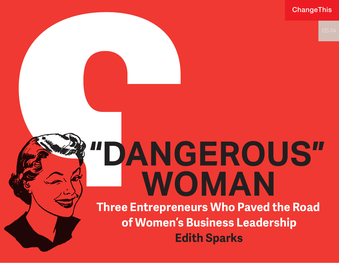ChangeThis

# **"DANGEROUS" WOMAN**

**Three Entrepreneurs Who Paved the Road of Women's Business Leadership Edith Sparks**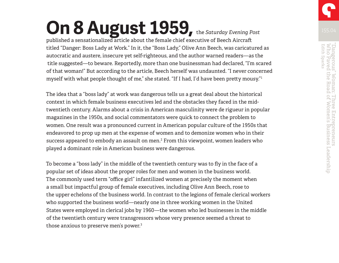## **On 8 August 1959,** the *Saturday Evening Post*

published a sensationalized article about the female chief executive of Beech Aircraft titled "Danger: Boss Lady at Work." In it, the "Boss Lady," Olive Ann Beech, was caricatured as autocratic and austere, insecure yet self-righteous, and the author warned readers—as the title suggested—to beware. Reportedly, more than one businessman had declared, "I'm scared of that woman!" But according to the article, Beech herself was undaunted. "I never concerned myself with what people thought of me," she stated. "If I had, I'd have been pretty mousy."1

The idea that a "boss lady" at work was dangerous tells us a great deal about the historical context in which female business executives led and the obstacles they faced in the midtwentieth century. Alarms about a crisis in American masculinity were de rigueur in popular magazines in the 1950s, and social commentators were quick to connect the problem to women. One result was a pronounced current in American popular culture of the 1950s that endeavored to prop up men at the expense of women and to demonize women who in their success appeared to embody an assault on men.2 From this viewpoint, women leaders who played a dominant role in American business were dangerous.

To become a "boss lady" in the middle of the twentieth century was to fly in the face of a popular set of ideas about the proper roles for men and women in the business world. The commonly used term "office girl" infantilized women at precisely the moment when a small but impactful group of female executives, including Olive Ann Beech, rose to the upper echelons of the business world. In contrast to the legions of female clerical workers who supported the business world—nearly one in three working women in the United States were employed in clerical jobs by 1960—the women who led businesses in the middle of the twentieth century were transgressors whose very presence seemed a threat to those anxious to preserve men's power.3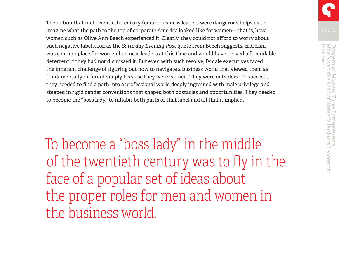The notion that mid-twentieth-century female business leaders were dangerous helps us to imagine what the path to the top of corporate America looked like for women—that is, how women such as Olive Ann Beech experienced it. Clearly, they could not afford to worry about such negative labels, for, as the *Saturday Evening Post* quote from Beech suggests, criticism was commonplace for women business leaders at this time and would have proved a formidable deterrent if they had not dismissed it. But even with such resolve, female executives faced the inherent challenge of figuring out how to navigate a business world that viewed them as fundamentally different simply because they were women. They were outsiders. To succeed, they needed to find a path into a professional world deeply ingrained with male privilege and steeped in rigid gender conventions that shaped both obstacles and opportunities. They needed to become the "boss lady," to inhabit both parts of that label and all that it implied.

To become a "boss lady" in the middle of the twentieth century was to fly in the face of a popular set of ideas about the proper roles for men and women in the business world.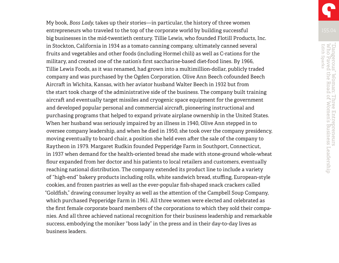My book, *Boss Lady*, takes up their stories—in particular, the history of three women entrepreneurs who traveled to the top of the corporate world by building successful big businesses in the mid-twentieth century. Tillie Lewis, who founded Flotill Products, Inc. in Stockton, California in 1934 as a tomato canning company, ultimately canned several fruits and vegetables and other foods (including Hormel chili) as well as C-rations for the military, and created one of the nation's first saccharine-based diet-food lines. By 1966, Tillie Lewis Foods, as it was renamed, had grown into a multimillion-dollar, publicly traded company and was purchased by the Ogden Corporation. Olive Ann Beech cofounded Beech Aircraft in Wichita, Kansas, with her aviator husband Walter Beech in 1932 but from the start took charge of the administrative side of the business. The company built training aircraft and eventually target missiles and cryogenic space equipment for the government and developed popular personal and commercial aircraft, pioneering instructional and purchasing programs that helped to expand private airplane ownership in the United States. When her husband was seriously impaired by an illness in 1940, Olive Ann stepped in to oversee company leadership, and when he died in 1950, she took over the company presidency, moving eventually to board chair, a position she held even after the sale of the company to Raytheon in 1979. Margaret Rudkin founded Pepperidge Farm in Southport, Connecticut, in 1937 when demand for the health-oriented bread she made with stone-ground whole-wheat flour expanded from her doctor and his patients to local retailers and customers, eventually reaching national distribution. The company extended its product line to include a variety of "high-end" bakery products including rolls, white sandwich bread, stuffing, European-style cookies, and frozen pastries as well as the ever-popular fish-shaped snack crackers called "Goldfish," drawing consumer loyalty as well as the attention of the Campbell Soup Company, which purchased Pepperidge Farm in 1961. All three women were elected and celebrated as the first female corporate board members of the corporations to which they sold their companies. And all three achieved national recognition for their business leadership and remarkable success, embodying the moniker "boss lady" in the press and in their day-to-day lives as business leaders.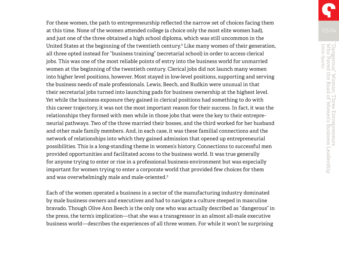For these women, the path to entrepreneurship reflected the narrow set of choices facing them at this time. None of the women attended college (a choice only the most elite women had), and just one of the three obtained a high school diploma, which was still uncommon in the United States at the beginning of the twentieth century.<sup>4</sup> Like many women of their generation, all three opted instead for "business training" (secretarial school) in order to access clerical jobs. This was one of the most reliable points of entry into the business world for unmarried women at the beginning of the twentieth century. Clerical jobs did not launch many women into higher level positions, however. Most stayed in low-level positions, supporting and serving the business needs of male professionals. Lewis, Beech, and Rudkin were unusual in that their secretarial jobs turned into launching pads for business ownership at the highest level. Yet while the business exposure they gained in clerical positions had something to do with this career trajectory, it was not the most important reason for their success. In fact, it was the relationships they formed with men while in those jobs that were the key to their entrepreneurial pathways. Two of the three married their bosses, and the third worked for her husband and other male family members. And, in each case, it was these familial connections and the network of relationships into which they gained admission that opened up entrepreneurial possibilities. This is a long-standing theme in women's history. Connections to successful men provided opportunities and facilitated access to the business world. It was true generally for anyone trying to enter or rise in a professional business environment but was especially important for women trying to enter a corporate world that provided few choices for them and was overwhelmingly male and male-oriented.5

Each of the women operated a business in a sector of the manufacturing industry dominated by male business owners and executives and had to navigate a culture steeped in masculine bravado. Though Olive Ann Beech is the only one who was actually described as "dangerous" in the press, the term's implication—that she was a transgressor in an almost all-male executive business world—describes the experiences of all three women. For while it won't be surprising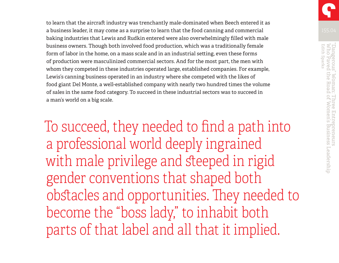to learn that the aircraft industry was trenchantly male-dominated when Beech entered it as a business leader, it may come as a surprise to learn that the food canning and commercial baking industries that Lewis and Rudkin entered were also overwhelmingly filled with male business owners. Though both involved food production, which was a traditionally female form of labor in the home, on a mass scale and in an industrial setting, even these forms of production were masculinized commercial sectors. And for the most part, the men with whom they competed in these industries operated large, established companies. For example, Lewis's canning business operated in an industry where she competed with the likes of food giant Del Monte, a well-established company with nearly two hundred times the volume of sales in the same food category. To succeed in these industrial sectors was to succeed in a man's world on a big scale.

To succeed, they needed to find a path into a professional world deeply ingrained with male privilege and steeped in rigid gender conventions that shaped both obstacles and opportunities. They needed to become the "boss lady," to inhabit both parts of that label and all that it implied.

Edith Sparks Who Paved the Road of Women's Business Leadership "Dangerous" Woman: Three Entrepreneurs

'Dangerous" Woman: Three Entrepreneurs<br>Who Paved the Road of Women's Business Leadership<br>Edith Sparks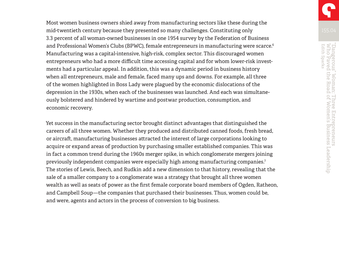Most women business owners shied away from manufacturing sectors like these during the mid-twentieth century because they presented so many challenges. Constituting only 3.3 percent of all woman-owned businesses in one 1954 survey by the Federation of Business and Professional Women's Clubs (BPWC), female entrepreneurs in manufacturing were scarce.<sup>6</sup> Manufacturing was a capital-intensive, high-risk, complex sector. This discouraged women entrepreneurs who had a more difficult time accessing capital and for whom lower-risk investments had a particular appeal. In addition, this was a dynamic period in business history when all entrepreneurs, male and female, faced many ups and downs. For example, all three of the women highlighted in Boss Lady were plagued by the economic dislocations of the depression in the 1930s, when each of the businesses was launched. And each was simultaneously bolstered and hindered by wartime and postwar production, consumption, and economic recovery.

Yet success in the manufacturing sector brought distinct advantages that distinguished the careers of all three women. Whether they produced and distributed canned foods, fresh bread, or aircraft, manufacturing businesses attracted the interest of large corporations looking to acquire or expand areas of production by purchasing smaller established companies. This was in fact a common trend during the 1960s merger spike, in which conglomerate mergers joining previously independent companies were especially high among manufacturing companies.7 The stories of Lewis, Beech, and Rudkin add a new dimension to that history, revealing that the sale of a smaller company to a conglomerate was a strategy that brought all three women wealth as well as seats of power as the first female corporate board members of Ogden, Ratheon, and Campbell Soup—the companies that purchased their businesses. Thus, women could be, and were, agents and actors in the process of conversion to big business.

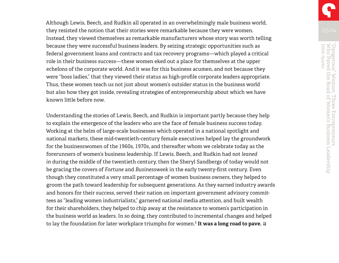Although Lewis, Beech, and Rudkin all operated in an overwhelmingly male business world, they resisted the notion that their stories were remarkable because they were women. Instead, they viewed themselves as remarkable manufacturers whose story was worth telling because they were successful business leaders. By seizing strategic opportunities such as federal government loans and contracts and tax recovery programs—which played a critical role in their business success—these women eked out a place for themselves at the upper echelons of the corporate world. And it was for this business acumen, and not because they were "boss ladies," that they viewed their status as high-profile corporate leaders appropriate. Thus, these women teach us not just about women's outsider status in the business world but also how they got inside, revealing strategies of entrepreneurship about which we have known little before now.

Understanding the stories of Lewis, Beech, and Rudkin is important partly because they help to explain the emergence of the leaders who are the face of female business success today. Working at the helm of large-scale businesses which operated in a national spotlight and national markets, these mid-twentieth-century female executives helped lay the groundwork for the businesswomen of the 1960s, 1970s, and thereafter whom we celebrate today as the forerunners of women's business leadership. If Lewis, Beech, and Rudkin had not *leaned in* during the middle of the twentieth century, then the Sheryl Sandbergs of today would not be gracing the covers of *Fortune* and *Businessweek* in the early twenty-first century. Even though they constituted a very small percentage of women business owners, they helped to groom the path toward leadership for subsequent generations. As they earned industry awards and honors for their success, served their nation on important government advisory committees as "leading women industrialists," garnered national media attention, and built wealth for their shareholders, they helped to chip away at the resistance to women's participation in the business world as leaders. In so doing, they contributed to incremental changes and helped to lay the foundation for later workplace triumphs for women.<sup>8</sup> It was a long road to pave. **a**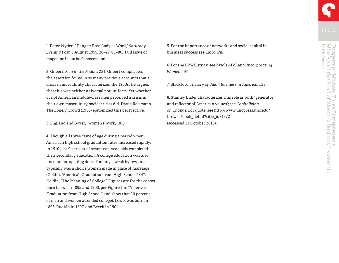1. Peter Wyden, "Danger: Boss Lady at Work," *Saturday Evening Post*, 8 August 1959, 26–27, 85–86. Full issue of magazine in author's possession.

2. Gilbert, *Men in the Middle*, 221. Gilbert complicates the assertion found in so many previous accounts that a crisis in masculinity characterized the 1950s. He argues that this was neither universal nor uniform. Yet whether or not American middle-class men perceived a crisis in their own masculinity, social critics did. David Reisman's The Lonely Crowd (1950) epitomized this perspective.

3. England and Boyer, "Women's Work," 309.

4. Though all three came of age during a period when American high school graduation rates increased rapidly, in 1910 just 9 percent of seventeen-year-olds completed their secondary education. A college education was also uncommon, opening doors for only a wealthy few, and typically was a choice women made in place of marriage (Goldin, "America's Graduation from High School," 347; Goldin, "The Meaning of College." Figures are for the cohort born between 1895 and 1900, per Figure 1 in "America's Graduation from High School," and show that 10 percent of men and women attended college). Lewis was born in 1896, Rudkin in 1897, and Beech in 1904.

5. For the importance of networks and social capital in business success see Laird, *Pull*.

6. For the BPWC study, see Kwolek-Folland, *Incorporating Women*, 159.

7. Blackford, *History of Small Business in America*, 138.

8. Stanley Buder characterizes this role as both "generator and reflector of American values"; see *Capitalizing on Change*. For quote, see http://www.uncpress.unc.edu/ browse/book\_detail?title\_id=1572 (accessed 11 October 2015).